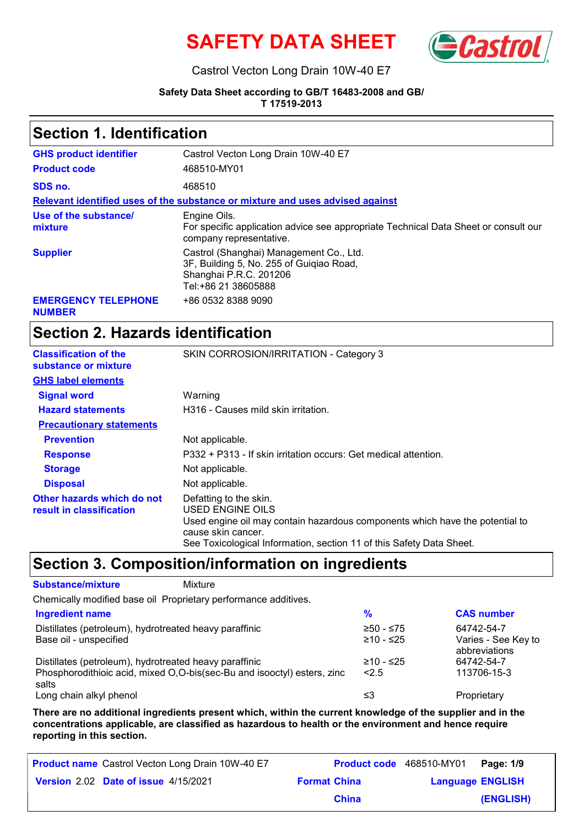



#### Castrol Vecton Long Drain 10W-40 E7

#### **Safety Data Sheet according to GB/T 16483-2008 and GB/ T 17519-2013**

#### **Section 1. Identification**

| <b>GHS product identifier</b>               | Castrol Vecton Long Drain 10W-40 E7                                                                                                  |
|---------------------------------------------|--------------------------------------------------------------------------------------------------------------------------------------|
| <b>Product code</b>                         | 468510-MY01                                                                                                                          |
| SDS no.                                     | 468510                                                                                                                               |
|                                             | Relevant identified uses of the substance or mixture and uses advised against                                                        |
| Use of the substance/<br>mixture            | Engine Oils.<br>For specific application advice see appropriate Technical Data Sheet or consult our<br>company representative.       |
| <b>Supplier</b>                             | Castrol (Shanghai) Management Co., Ltd.<br>3F, Building 5, No. 255 of Guigiao Road,<br>Shanghai P.R.C. 201206<br>Tel:+86 21 38605888 |
| <b>EMERGENCY TELEPHONE</b><br><b>NUMBER</b> | +86 0532 8388 9090                                                                                                                   |

## **Section 2. Hazards identification**

| <b>Classification of the</b><br>substance or mixture   | SKIN CORROSION/IRRITATION - Category 3                                                                                                                                                                                   |
|--------------------------------------------------------|--------------------------------------------------------------------------------------------------------------------------------------------------------------------------------------------------------------------------|
| <b>GHS label elements</b>                              |                                                                                                                                                                                                                          |
| <b>Signal word</b>                                     | Warning                                                                                                                                                                                                                  |
| <b>Hazard statements</b>                               | H316 - Causes mild skin irritation.                                                                                                                                                                                      |
| <b>Precautionary statements</b>                        |                                                                                                                                                                                                                          |
| <b>Prevention</b>                                      | Not applicable.                                                                                                                                                                                                          |
| <b>Response</b>                                        | P332 + P313 - If skin irritation occurs: Get medical attention.                                                                                                                                                          |
| <b>Storage</b>                                         | Not applicable.                                                                                                                                                                                                          |
| <b>Disposal</b>                                        | Not applicable.                                                                                                                                                                                                          |
| Other hazards which do not<br>result in classification | Defatting to the skin.<br>USED ENGINE OILS<br>Used engine oil may contain hazardous components which have the potential to<br>cause skin cancer.<br>See Toxicological Information, section 11 of this Safety Data Sheet. |

### **Section 3. Composition/information on ingredients**

| <b>Substance/mixture</b>                               | Mixture                                                                 |             |                     |
|--------------------------------------------------------|-------------------------------------------------------------------------|-------------|---------------------|
|                                                        | Chemically modified base oil Proprietary performance additives.         |             |                     |
| <b>Ingredient name</b>                                 |                                                                         | %           | <b>CAS number</b>   |
| Distillates (petroleum), hydrotreated heavy paraffinic |                                                                         | $≥50 - ≤75$ | 64742-54-7          |
| Base oil - unspecified                                 |                                                                         | $≥10 - ≤25$ | Varies - See Key to |
|                                                        |                                                                         |             | abbreviations       |
| Distillates (petroleum), hydrotreated heavy paraffinic |                                                                         | ≥10 - ≤25   | 64742-54-7          |
| salts                                                  | Phosphorodithioic acid, mixed O,O-bis(sec-Bu and isooctyl) esters, zinc | 2.5         | 113706-15-3         |
| Long chain alkyl phenol                                |                                                                         | ≤3          | Proprietary         |

**There are no additional ingredients present which, within the current knowledge of the supplier and in the concentrations applicable, are classified as hazardous to health or the environment and hence require reporting in this section.**

| <b>Product name</b> Castrol Vecton Long Drain 10W-40 E7 |                     | <b>Product code</b> 468510-MY01   Page: 1/9 |           |
|---------------------------------------------------------|---------------------|---------------------------------------------|-----------|
| <b>Version 2.02 Date of issue 4/15/2021</b>             | <b>Format China</b> | <b>Language ENGLISH</b>                     |           |
|                                                         | <b>China</b>        |                                             | (ENGLISH) |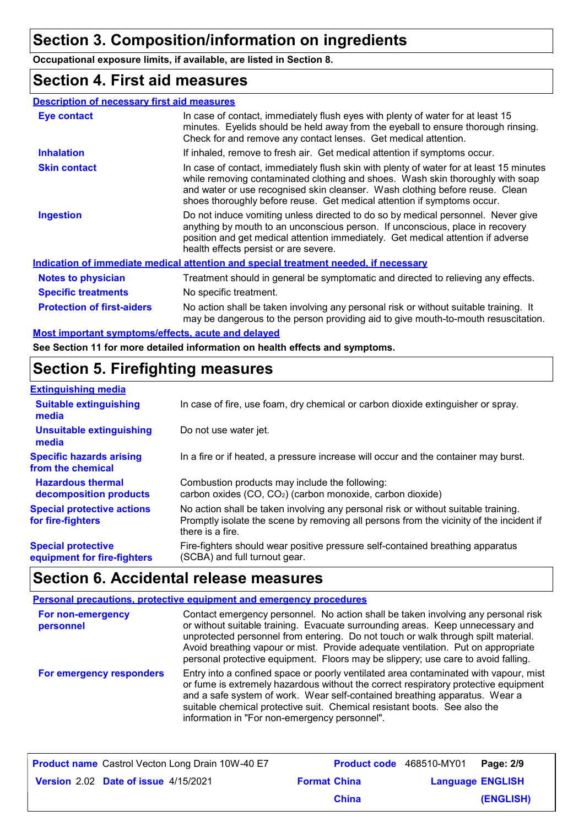## **Section 3. Composition/information on ingredients**

**Occupational exposure limits, if available, are listed in Section 8.**

#### **Section 4. First aid measures**

| <b>Description of necessary first aid measures</b> |                                                                                                                                                                                                                                                                                                                                      |
|----------------------------------------------------|--------------------------------------------------------------------------------------------------------------------------------------------------------------------------------------------------------------------------------------------------------------------------------------------------------------------------------------|
| Eye contact                                        | In case of contact, immediately flush eyes with plenty of water for at least 15<br>minutes. Eyelids should be held away from the eyeball to ensure thorough rinsing.<br>Check for and remove any contact lenses. Get medical attention.                                                                                              |
| <b>Inhalation</b>                                  | If inhaled, remove to fresh air. Get medical attention if symptoms occur.                                                                                                                                                                                                                                                            |
| <b>Skin contact</b>                                | In case of contact, immediately flush skin with plenty of water for at least 15 minutes<br>while removing contaminated clothing and shoes. Wash skin thoroughly with soap<br>and water or use recognised skin cleanser. Wash clothing before reuse. Clean<br>shoes thoroughly before reuse. Get medical attention if symptoms occur. |
| <b>Ingestion</b>                                   | Do not induce vomiting unless directed to do so by medical personnel. Never give<br>anything by mouth to an unconscious person. If unconscious, place in recovery<br>position and get medical attention immediately. Get medical attention if adverse<br>health effects persist or are severe.                                       |
|                                                    | Indication of immediate medical attention and special treatment needed, if necessary                                                                                                                                                                                                                                                 |
| <b>Notes to physician</b>                          | Treatment should in general be symptomatic and directed to relieving any effects.                                                                                                                                                                                                                                                    |
| <b>Specific treatments</b>                         | No specific treatment.                                                                                                                                                                                                                                                                                                               |
| <b>Protection of first-aiders</b>                  | No action shall be taken involving any personal risk or without suitable training. It<br>may be dangerous to the person providing aid to give mouth-to-mouth resuscitation.                                                                                                                                                          |
| Maatimoantant amuntamalaffaata, aanta and dalamad. |                                                                                                                                                                                                                                                                                                                                      |

**See Section 11 for more detailed information on health effects and symptoms. Most important symptoms/effects, acute and delayed**

# **Section 5. Firefighting measures**

| <b>Extinguishing media</b>                               |                                                                                                                                                                                                   |
|----------------------------------------------------------|---------------------------------------------------------------------------------------------------------------------------------------------------------------------------------------------------|
| <b>Suitable extinguishing</b><br>media                   | In case of fire, use foam, dry chemical or carbon dioxide extinguisher or spray.                                                                                                                  |
| <b>Unsuitable extinguishing</b><br>media                 | Do not use water jet.                                                                                                                                                                             |
| <b>Specific hazards arising</b><br>from the chemical     | In a fire or if heated, a pressure increase will occur and the container may burst.                                                                                                               |
| <b>Hazardous thermal</b><br>decomposition products       | Combustion products may include the following:<br>carbon oxides (CO, CO <sub>2</sub> ) (carbon monoxide, carbon dioxide)                                                                          |
| <b>Special protective actions</b><br>for fire-fighters   | No action shall be taken involving any personal risk or without suitable training.<br>Promptly isolate the scene by removing all persons from the vicinity of the incident if<br>there is a fire. |
| <b>Special protective</b><br>equipment for fire-fighters | Fire-fighters should wear positive pressure self-contained breathing apparatus<br>(SCBA) and full turnout gear.                                                                                   |

### **Section 6. Accidental release measures**

#### **Personal precautions, protective equipment and emergency procedures**

| For non-emergency<br>personnel | Contact emergency personnel. No action shall be taken involving any personal risk<br>or without suitable training. Evacuate surrounding areas. Keep unnecessary and<br>unprotected personnel from entering. Do not touch or walk through spilt material.<br>Avoid breathing vapour or mist. Provide adequate ventilation. Put on appropriate<br>personal protective equipment. Floors may be slippery; use care to avoid falling. |
|--------------------------------|-----------------------------------------------------------------------------------------------------------------------------------------------------------------------------------------------------------------------------------------------------------------------------------------------------------------------------------------------------------------------------------------------------------------------------------|
| For emergency responders       | Entry into a confined space or poorly ventilated area contaminated with vapour, mist<br>or fume is extremely hazardous without the correct respiratory protective equipment<br>and a safe system of work. Wear self-contained breathing apparatus. Wear a<br>suitable chemical protective suit. Chemical resistant boots. See also the<br>information in "For non-emergency personnel".                                           |

| <b>Product name</b> Castrol Vecton Long Drain 10W-40 E7 |                     | <b>Product code</b> 468510-MY01 Page: 2/9 |           |
|---------------------------------------------------------|---------------------|-------------------------------------------|-----------|
| <b>Version 2.02 Date of issue 4/15/2021</b>             | <b>Format China</b> | <b>Language ENGLISH</b>                   |           |
|                                                         | <b>China</b>        |                                           | (ENGLISH) |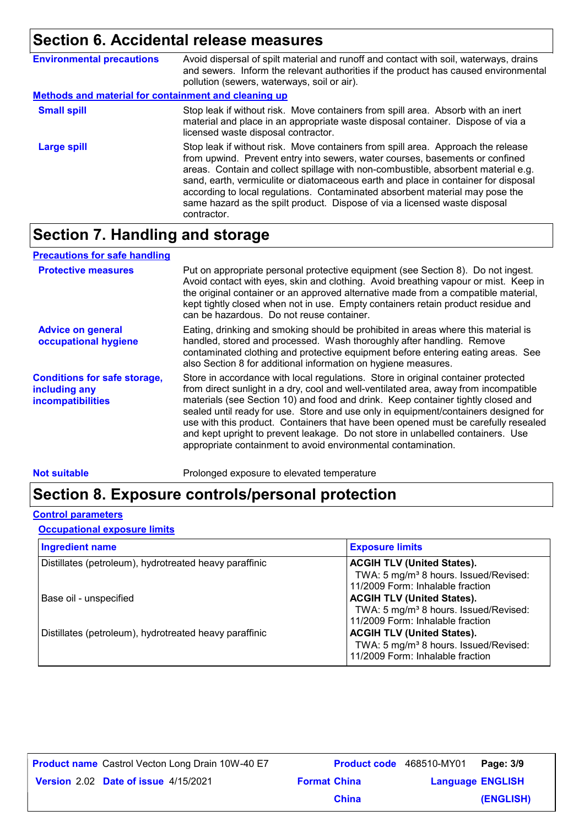# **Section 6. Accidental release measures**

| <b>Environmental precautions</b>                            | Avoid dispersal of spilt material and runoff and contact with soil, waterways, drains<br>and sewers. Inform the relevant authorities if the product has caused environmental<br>pollution (sewers, waterways, soil or air).                                                                                                                                                                                                                                                                                              |  |  |
|-------------------------------------------------------------|--------------------------------------------------------------------------------------------------------------------------------------------------------------------------------------------------------------------------------------------------------------------------------------------------------------------------------------------------------------------------------------------------------------------------------------------------------------------------------------------------------------------------|--|--|
| <b>Methods and material for containment and cleaning up</b> |                                                                                                                                                                                                                                                                                                                                                                                                                                                                                                                          |  |  |
| <b>Small spill</b>                                          | Stop leak if without risk. Move containers from spill area. Absorb with an inert<br>material and place in an appropriate waste disposal container. Dispose of via a<br>licensed waste disposal contractor.                                                                                                                                                                                                                                                                                                               |  |  |
| <b>Large spill</b>                                          | Stop leak if without risk. Move containers from spill area. Approach the release<br>from upwind. Prevent entry into sewers, water courses, basements or confined<br>areas. Contain and collect spillage with non-combustible, absorbent material e.g.<br>sand, earth, vermiculite or diatomaceous earth and place in container for disposal<br>according to local regulations. Contaminated absorbent material may pose the<br>same hazard as the spilt product. Dispose of via a licensed waste disposal<br>contractor. |  |  |

## **Section 7. Handling and storage**

| <b>Precautions for safe handling</b>                                             |                                                                                                                                                                                                                                                                                                                                                                                                                                                                                                                                                                                                |
|----------------------------------------------------------------------------------|------------------------------------------------------------------------------------------------------------------------------------------------------------------------------------------------------------------------------------------------------------------------------------------------------------------------------------------------------------------------------------------------------------------------------------------------------------------------------------------------------------------------------------------------------------------------------------------------|
| <b>Protective measures</b>                                                       | Put on appropriate personal protective equipment (see Section 8). Do not ingest.<br>Avoid contact with eyes, skin and clothing. Avoid breathing vapour or mist. Keep in<br>the original container or an approved alternative made from a compatible material,<br>kept tightly closed when not in use. Empty containers retain product residue and<br>can be hazardous. Do not reuse container.                                                                                                                                                                                                 |
| <b>Advice on general</b><br>occupational hygiene                                 | Eating, drinking and smoking should be prohibited in areas where this material is<br>handled, stored and processed. Wash thoroughly after handling. Remove<br>contaminated clothing and protective equipment before entering eating areas. See<br>also Section 8 for additional information on hygiene measures.                                                                                                                                                                                                                                                                               |
| <b>Conditions for safe storage,</b><br>including any<br><b>incompatibilities</b> | Store in accordance with local regulations. Store in original container protected<br>from direct sunlight in a dry, cool and well-ventilated area, away from incompatible<br>materials (see Section 10) and food and drink. Keep container tightly closed and<br>sealed until ready for use. Store and use only in equipment/containers designed for<br>use with this product. Containers that have been opened must be carefully resealed<br>and kept upright to prevent leakage. Do not store in unlabelled containers. Use<br>appropriate containment to avoid environmental contamination. |

**Not suitable Not suitable** Prolonged exposure to elevated temperature

## **Section 8. Exposure controls/personal protection**

#### **Control parameters**

#### **Occupational exposure limits**

| <b>Ingredient name</b>                                 | <b>Exposure limits</b>                                                                                                     |
|--------------------------------------------------------|----------------------------------------------------------------------------------------------------------------------------|
| Distillates (petroleum), hydrotreated heavy paraffinic | <b>ACGIH TLV (United States).</b><br>TWA: 5 mg/m <sup>3</sup> 8 hours. Issued/Revised:<br>11/2009 Form: Inhalable fraction |
| Base oil - unspecified                                 | <b>ACGIH TLV (United States).</b>                                                                                          |
|                                                        | TWA: 5 mg/m <sup>3</sup> 8 hours. Issued/Revised:<br>11/2009 Form: Inhalable fraction                                      |
| Distillates (petroleum), hydrotreated heavy paraffinic | <b>ACGIH TLV (United States).</b><br>TWA: 5 mg/m <sup>3</sup> 8 hours. Issued/Revised:<br>11/2009 Form: Inhalable fraction |

| <b>Product name</b> Castrol Vecton Long Drain 10W-40 E7 |                     | <b>Product code</b> 468510-MY01 <b>Page: 3/9</b> |           |
|---------------------------------------------------------|---------------------|--------------------------------------------------|-----------|
| Version 2.02 Date of issue 4/15/2021                    | <b>Format China</b> | <b>Language ENGLISH</b>                          |           |
|                                                         | <b>China</b>        |                                                  | (ENGLISH) |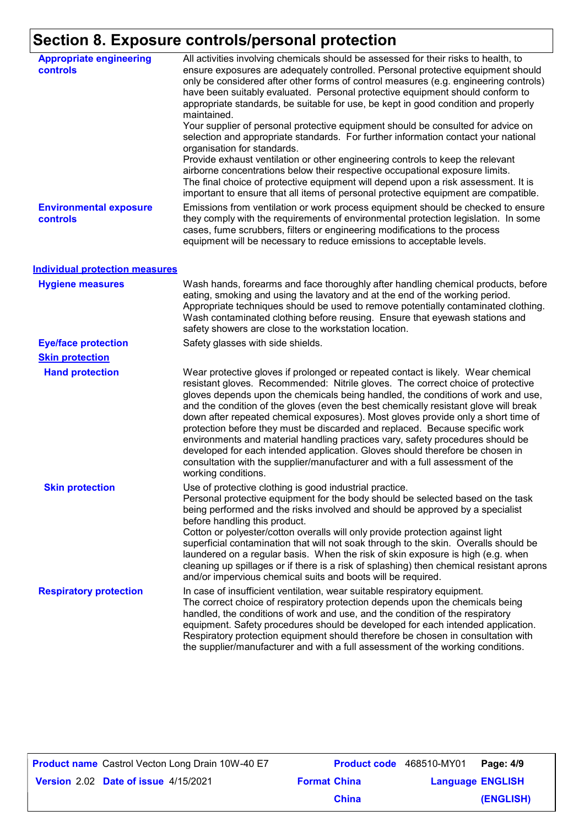# **Section 8. Exposure controls/personal protection**

| <b>Appropriate engineering</b><br><b>controls</b> | All activities involving chemicals should be assessed for their risks to health, to<br>ensure exposures are adequately controlled. Personal protective equipment should<br>only be considered after other forms of control measures (e.g. engineering controls)<br>have been suitably evaluated. Personal protective equipment should conform to<br>appropriate standards, be suitable for use, be kept in good condition and properly<br>maintained.<br>Your supplier of personal protective equipment should be consulted for advice on<br>selection and appropriate standards. For further information contact your national<br>organisation for standards.<br>Provide exhaust ventilation or other engineering controls to keep the relevant<br>airborne concentrations below their respective occupational exposure limits.<br>The final choice of protective equipment will depend upon a risk assessment. It is<br>important to ensure that all items of personal protective equipment are compatible. |
|---------------------------------------------------|---------------------------------------------------------------------------------------------------------------------------------------------------------------------------------------------------------------------------------------------------------------------------------------------------------------------------------------------------------------------------------------------------------------------------------------------------------------------------------------------------------------------------------------------------------------------------------------------------------------------------------------------------------------------------------------------------------------------------------------------------------------------------------------------------------------------------------------------------------------------------------------------------------------------------------------------------------------------------------------------------------------|
| <b>Environmental exposure</b><br>controls         | Emissions from ventilation or work process equipment should be checked to ensure<br>they comply with the requirements of environmental protection legislation. In some<br>cases, fume scrubbers, filters or engineering modifications to the process<br>equipment will be necessary to reduce emissions to acceptable levels.                                                                                                                                                                                                                                                                                                                                                                                                                                                                                                                                                                                                                                                                                 |
| <b>Individual protection measures</b>             |                                                                                                                                                                                                                                                                                                                                                                                                                                                                                                                                                                                                                                                                                                                                                                                                                                                                                                                                                                                                               |
| <b>Hygiene measures</b>                           | Wash hands, forearms and face thoroughly after handling chemical products, before<br>eating, smoking and using the lavatory and at the end of the working period.<br>Appropriate techniques should be used to remove potentially contaminated clothing.<br>Wash contaminated clothing before reusing. Ensure that eyewash stations and<br>safety showers are close to the workstation location.                                                                                                                                                                                                                                                                                                                                                                                                                                                                                                                                                                                                               |
| <b>Eye/face protection</b>                        | Safety glasses with side shields.                                                                                                                                                                                                                                                                                                                                                                                                                                                                                                                                                                                                                                                                                                                                                                                                                                                                                                                                                                             |
| <b>Skin protection</b>                            |                                                                                                                                                                                                                                                                                                                                                                                                                                                                                                                                                                                                                                                                                                                                                                                                                                                                                                                                                                                                               |
| <b>Hand protection</b>                            | Wear protective gloves if prolonged or repeated contact is likely. Wear chemical<br>resistant gloves. Recommended: Nitrile gloves. The correct choice of protective<br>gloves depends upon the chemicals being handled, the conditions of work and use,<br>and the condition of the gloves (even the best chemically resistant glove will break<br>down after repeated chemical exposures). Most gloves provide only a short time of<br>protection before they must be discarded and replaced. Because specific work<br>environments and material handling practices vary, safety procedures should be<br>developed for each intended application. Gloves should therefore be chosen in<br>consultation with the supplier/manufacturer and with a full assessment of the<br>working conditions.                                                                                                                                                                                                               |
| <b>Skin protection</b>                            | Use of protective clothing is good industrial practice.<br>Personal protective equipment for the body should be selected based on the task<br>being performed and the risks involved and should be approved by a specialist<br>before handling this product.<br>Cotton or polyester/cotton overalls will only provide protection against light<br>superficial contamination that will not soak through to the skin. Overalls should be<br>laundered on a regular basis. When the risk of skin exposure is high (e.g. when<br>cleaning up spillages or if there is a risk of splashing) then chemical resistant aprons<br>and/or impervious chemical suits and boots will be required.                                                                                                                                                                                                                                                                                                                         |
| <b>Respiratory protection</b>                     | In case of insufficient ventilation, wear suitable respiratory equipment.<br>The correct choice of respiratory protection depends upon the chemicals being<br>handled, the conditions of work and use, and the condition of the respiratory<br>equipment. Safety procedures should be developed for each intended application.<br>Respiratory protection equipment should therefore be chosen in consultation with<br>the supplier/manufacturer and with a full assessment of the working conditions.                                                                                                                                                                                                                                                                                                                                                                                                                                                                                                         |

| <b>Product name</b> Castrol Vecton Long Drain 10W-40 E7 |                     | <b>Product code</b> 468510-MY01 | Page: 4/9 |
|---------------------------------------------------------|---------------------|---------------------------------|-----------|
| Version 2.02 Date of issue 4/15/2021                    | <b>Format China</b> | <b>Language ENGLISH</b>         |           |
|                                                         | <b>China</b>        |                                 | (ENGLISH) |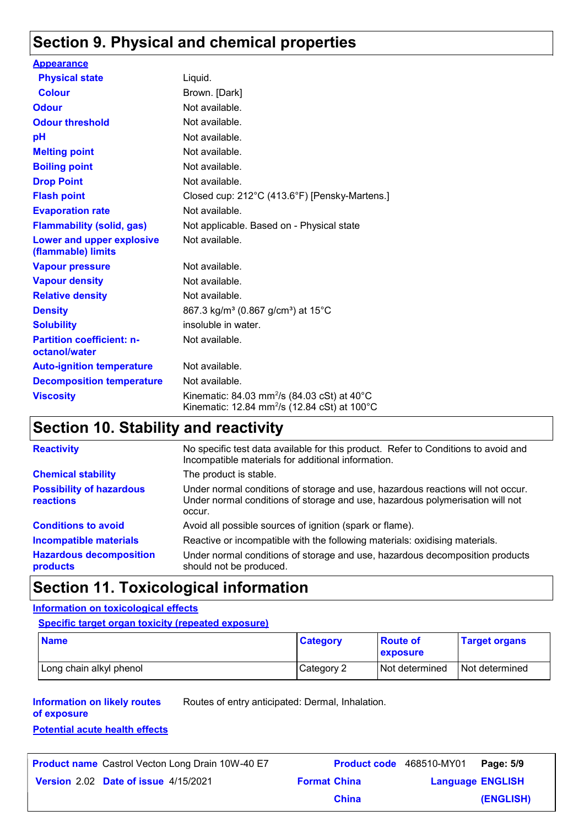## **Section 9. Physical and chemical properties**

| <b>Appearance</b>                                      |                                                                                                                                |
|--------------------------------------------------------|--------------------------------------------------------------------------------------------------------------------------------|
| <b>Physical state</b>                                  | Liquid.                                                                                                                        |
| <b>Colour</b>                                          | Brown. [Dark]                                                                                                                  |
| <b>Odour</b>                                           | Not available.                                                                                                                 |
| <b>Odour threshold</b>                                 | Not available.                                                                                                                 |
| pH                                                     | Not available.                                                                                                                 |
| <b>Melting point</b>                                   | Not available.                                                                                                                 |
| <b>Boiling point</b>                                   | Not available.                                                                                                                 |
| <b>Drop Point</b>                                      | Not available.                                                                                                                 |
| <b>Flash point</b>                                     | Closed cup: 212°C (413.6°F) [Pensky-Martens.]                                                                                  |
| <b>Evaporation rate</b>                                | Not available.                                                                                                                 |
| <b>Flammability (solid, gas)</b>                       | Not applicable. Based on - Physical state                                                                                      |
| <b>Lower and upper explosive</b><br>(flammable) limits | Not available.                                                                                                                 |
| <b>Vapour pressure</b>                                 | Not available.                                                                                                                 |
| <b>Vapour density</b>                                  | Not available.                                                                                                                 |
| <b>Relative density</b>                                | Not available.                                                                                                                 |
| <b>Density</b>                                         | 867.3 kg/m <sup>3</sup> (0.867 g/cm <sup>3</sup> ) at 15 <sup>°</sup> C                                                        |
| <b>Solubility</b>                                      | insoluble in water.                                                                                                            |
| <b>Partition coefficient: n-</b><br>octanol/water      | Not available.                                                                                                                 |
| <b>Auto-ignition temperature</b>                       | Not available.                                                                                                                 |
| <b>Decomposition temperature</b>                       | Not available.                                                                                                                 |
| <b>Viscosity</b>                                       | Kinematic: 84.03 mm <sup>2</sup> /s (84.03 cSt) at 40 $^{\circ}$ C<br>Kinematic: 12.84 mm <sup>2</sup> /s (12.84 cSt) at 100°C |

## **Section 10. Stability and reactivity**

| <b>Reactivity</b>                                   | No specific test data available for this product. Refer to Conditions to avoid and<br>Incompatible materials for additional information.                                   |
|-----------------------------------------------------|----------------------------------------------------------------------------------------------------------------------------------------------------------------------------|
| <b>Chemical stability</b>                           | The product is stable.                                                                                                                                                     |
| <b>Possibility of hazardous</b><br><b>reactions</b> | Under normal conditions of storage and use, hazardous reactions will not occur.<br>Under normal conditions of storage and use, hazardous polymerisation will not<br>occur. |
| <b>Conditions to avoid</b>                          | Avoid all possible sources of ignition (spark or flame).                                                                                                                   |
| <b>Incompatible materials</b>                       | Reactive or incompatible with the following materials: oxidising materials.                                                                                                |
| <b>Hazardous decomposition</b><br>products          | Under normal conditions of storage and use, hazardous decomposition products<br>should not be produced.                                                                    |

## **Section 11. Toxicological information**

#### **Information on toxicological effects**

#### **Specific target organ toxicity (repeated exposure)**

| <b>Name</b>             | <b>Category</b> | <b>Route of</b><br>exposure | <b>Target organs</b> |
|-------------------------|-----------------|-----------------------------|----------------------|
| Long chain alkyl phenol | Category 2      | I Not determined            | Not determined       |

#### **Information on likely routes**  Routes of entry anticipated: Dermal, Inhalation.

**of exposure**

**Potential acute health effects**

| <b>Product name</b> Castrol Vecton Long Drain 10W-40 E7 |                     | <b>Product code</b> 468510-MY01   Page: 5/9 |           |
|---------------------------------------------------------|---------------------|---------------------------------------------|-----------|
| <b>Version 2.02 Date of issue 4/15/2021</b>             | <b>Format China</b> | <b>Language ENGLISH</b>                     |           |
|                                                         | <b>China</b>        |                                             | (ENGLISH) |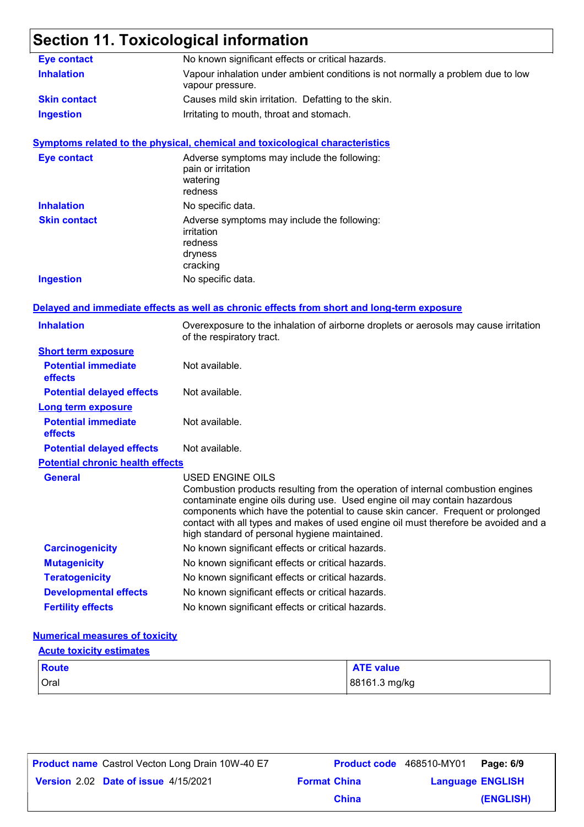## **Section 11. Toxicological information**

| <b>Eye contact</b>                      | No known significant effects or critical hazards.                                                                                                                                                                                                                                                                                                                                                           |
|-----------------------------------------|-------------------------------------------------------------------------------------------------------------------------------------------------------------------------------------------------------------------------------------------------------------------------------------------------------------------------------------------------------------------------------------------------------------|
| <b>Inhalation</b>                       | Vapour inhalation under ambient conditions is not normally a problem due to low<br>vapour pressure.                                                                                                                                                                                                                                                                                                         |
| <b>Skin contact</b>                     | Causes mild skin irritation. Defatting to the skin.                                                                                                                                                                                                                                                                                                                                                         |
| <b>Ingestion</b>                        | Irritating to mouth, throat and stomach.                                                                                                                                                                                                                                                                                                                                                                    |
|                                         | <b>Symptoms related to the physical, chemical and toxicological characteristics</b>                                                                                                                                                                                                                                                                                                                         |
| <b>Eye contact</b>                      | Adverse symptoms may include the following:<br>pain or irritation<br>watering<br>redness                                                                                                                                                                                                                                                                                                                    |
| <b>Inhalation</b>                       | No specific data.                                                                                                                                                                                                                                                                                                                                                                                           |
| <b>Skin contact</b>                     | Adverse symptoms may include the following:<br>irritation<br>redness<br>dryness<br>cracking                                                                                                                                                                                                                                                                                                                 |
| <b>Ingestion</b>                        | No specific data.                                                                                                                                                                                                                                                                                                                                                                                           |
|                                         | Delayed and immediate effects as well as chronic effects from short and long-term exposure                                                                                                                                                                                                                                                                                                                  |
| <b>Inhalation</b>                       | Overexposure to the inhalation of airborne droplets or aerosols may cause irritation<br>of the respiratory tract.                                                                                                                                                                                                                                                                                           |
| <b>Short term exposure</b>              |                                                                                                                                                                                                                                                                                                                                                                                                             |
| <b>Potential immediate</b><br>effects   | Not available.                                                                                                                                                                                                                                                                                                                                                                                              |
| <b>Potential delayed effects</b>        | Not available.                                                                                                                                                                                                                                                                                                                                                                                              |
| <b>Long term exposure</b>               |                                                                                                                                                                                                                                                                                                                                                                                                             |
| <b>Potential immediate</b><br>effects   | Not available.                                                                                                                                                                                                                                                                                                                                                                                              |
| <b>Potential delayed effects</b>        | Not available.                                                                                                                                                                                                                                                                                                                                                                                              |
| <b>Potential chronic health effects</b> |                                                                                                                                                                                                                                                                                                                                                                                                             |
| General                                 | USED ENGINE OILS<br>Combustion products resulting from the operation of internal combustion engines<br>contaminate engine oils during use. Used engine oil may contain hazardous<br>components which have the potential to cause skin cancer. Frequent or prolonged<br>contact with all types and makes of used engine oil must therefore be avoided and a<br>high standard of personal hygiene maintained. |
| <b>Carcinogenicity</b>                  | No known significant effects or critical hazards.                                                                                                                                                                                                                                                                                                                                                           |
| <b>Mutagenicity</b>                     | No known significant effects or critical hazards.                                                                                                                                                                                                                                                                                                                                                           |
| <b>Teratogenicity</b>                   | No known significant effects or critical hazards.                                                                                                                                                                                                                                                                                                                                                           |
| <b>Developmental effects</b>            | No known significant effects or critical hazards.                                                                                                                                                                                                                                                                                                                                                           |
| <b>Fertility effects</b>                | No known significant effects or critical hazards.                                                                                                                                                                                                                                                                                                                                                           |

#### **Numerical measures of toxicity**

#### **Acute toxicity estimates**

| <b>Route</b> | <b>ATE value</b> |
|--------------|------------------|
| Oral         | 88161.3 mg/kg    |

| <b>Product name</b> Castrol Vecton Long Drain 10W-40 E7 |                     | Product code 468510-MY01 Page: 6/9 |           |
|---------------------------------------------------------|---------------------|------------------------------------|-----------|
| Version 2.02 Date of issue 4/15/2021                    | <b>Format China</b> | <b>Language ENGLISH</b>            |           |
|                                                         | <b>China</b>        |                                    | (ENGLISH) |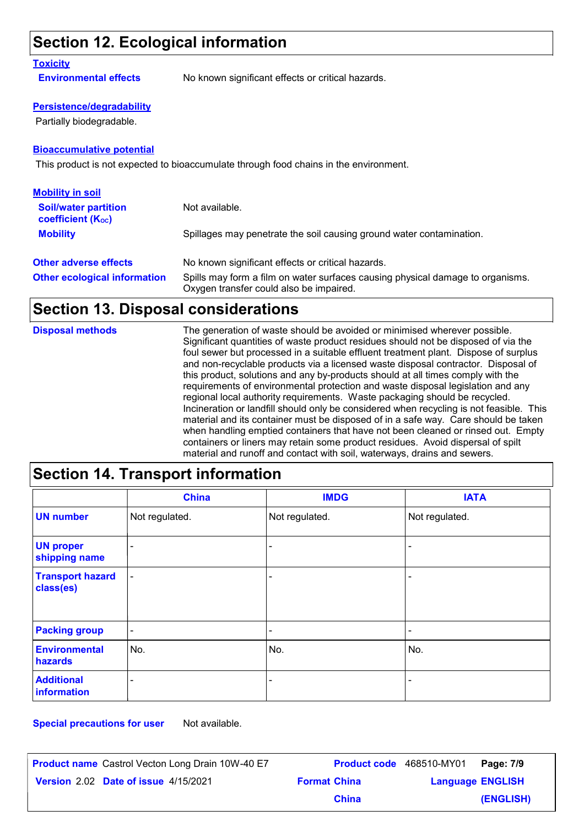## **Section 12. Ecological information**

#### **Toxicity**

**Environmental effects** No known significant effects or critical hazards.

#### **Persistence/degradability**

Partially biodegradable.

#### **Bioaccumulative potential**

This product is not expected to bioaccumulate through food chains in the environment.

| <b>Mobility in soil</b>                                 |                                                                                                                           |
|---------------------------------------------------------|---------------------------------------------------------------------------------------------------------------------------|
| <b>Soil/water partition</b><br><b>coefficient (Koc)</b> | Not available.                                                                                                            |
| <b>Mobility</b>                                         | Spillages may penetrate the soil causing ground water contamination.                                                      |
| <b>Other adverse effects</b>                            | No known significant effects or critical hazards.                                                                         |
| <b>Other ecological information</b>                     | Spills may form a film on water surfaces causing physical damage to organisms.<br>Oxygen transfer could also be impaired. |

## **Section 13. Disposal considerations**

| <b>Disposal methods</b> | The generation of waste should be avoided or minimised wherever possible.               |
|-------------------------|-----------------------------------------------------------------------------------------|
|                         | Significant quantities of waste product residues should not be disposed of via the      |
|                         | foul sewer but processed in a suitable effluent treatment plant. Dispose of surplus     |
|                         | and non-recyclable products via a licensed waste disposal contractor. Disposal of       |
|                         | this product, solutions and any by-products should at all times comply with the         |
|                         | requirements of environmental protection and waste disposal legislation and any         |
|                         | regional local authority requirements. Waste packaging should be recycled.              |
|                         | Incineration or landfill should only be considered when recycling is not feasible. This |
|                         | material and its container must be disposed of in a safe way. Care should be taken      |
|                         | when handling emptied containers that have not been cleaned or rinsed out. Empty        |
|                         | containers or liners may retain some product residues. Avoid dispersal of spilt         |
|                         | material and runoff and contact with soil, waterways, drains and sewers.                |

## **Section 14. Transport information**

|                                      | <b>China</b>             | <b>IMDG</b>              | <b>IATA</b>              |
|--------------------------------------|--------------------------|--------------------------|--------------------------|
| <b>UN number</b>                     | Not regulated.           | Not regulated.           | Not regulated.           |
| <b>UN proper</b><br>shipping name    | $\overline{\phantom{a}}$ |                          | -                        |
| <b>Transport hazard</b><br>class(es) | $\overline{\phantom{a}}$ | ۰                        | -                        |
| <b>Packing group</b>                 | $\overline{\phantom{a}}$ | $\overline{\phantom{a}}$ | $\overline{\phantom{a}}$ |
| <b>Environmental</b><br>hazards      | No.                      | No.                      | No.                      |
| <b>Additional</b><br>information     | $\overline{\phantom{0}}$ | -                        | -                        |

**Special precautions for user** Not available.

| <b>Product name</b> Castrol Vecton Long Drain 10W-40 E7 |                     | Product code 468510-MY01 | Page: 7/9 |
|---------------------------------------------------------|---------------------|--------------------------|-----------|
| Version 2.02 Date of issue 4/15/2021                    | <b>Format China</b> | <b>Language ENGLISH</b>  |           |
|                                                         | <b>China</b>        |                          | (ENGLISH) |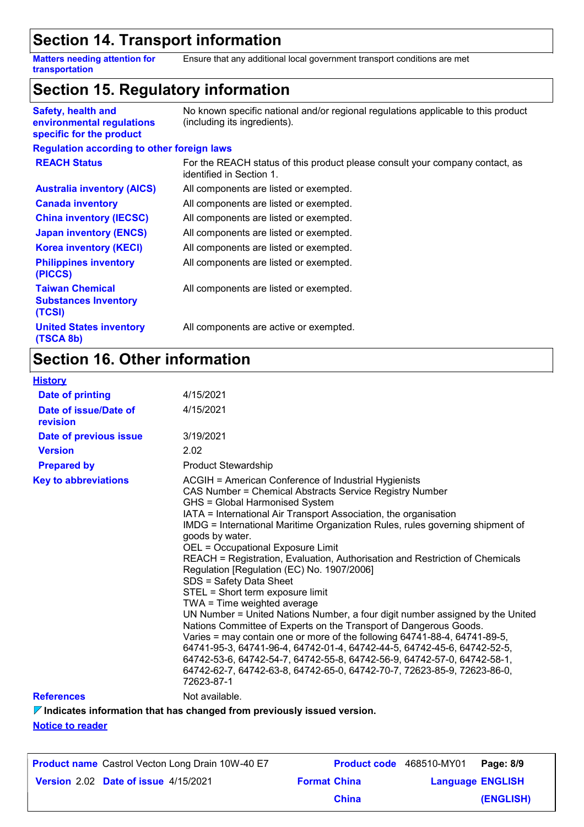### **Section 14. Transport information**

**Matters needing attention for transportation** Ensure that any additional local government transport conditions are met

## **Section 15. Regulatory information**

| <b>Safety, health and</b><br>environmental regulations<br>specific for the product | No known specific national and/or regional regulations applicable to this product<br>(including its ingredients). |
|------------------------------------------------------------------------------------|-------------------------------------------------------------------------------------------------------------------|
| <b>Regulation according to other foreign laws</b>                                  |                                                                                                                   |
| <b>REACH Status</b>                                                                | For the REACH status of this product please consult your company contact, as<br>identified in Section 1.          |
| <b>Australia inventory (AICS)</b>                                                  | All components are listed or exempted.                                                                            |
| <b>Canada inventory</b>                                                            | All components are listed or exempted.                                                                            |
| <b>China inventory (IECSC)</b>                                                     | All components are listed or exempted.                                                                            |
| <b>Japan inventory (ENCS)</b>                                                      | All components are listed or exempted.                                                                            |
| <b>Korea inventory (KECI)</b>                                                      | All components are listed or exempted.                                                                            |
| <b>Philippines inventory</b><br>(PICCS)                                            | All components are listed or exempted.                                                                            |
| <b>Taiwan Chemical</b><br><b>Substances Inventory</b><br>(TCSI)                    | All components are listed or exempted.                                                                            |
| <b>United States inventory</b><br>(TSCA 8b)                                        | All components are active or exempted.                                                                            |

## **Section 16. Other information**

| <b>History</b>                    |                                                                                                                                                                                                                                                                                                                                                                                                                                                                                                                                                                                                                                                                                                                                                                                                                                                                                                                                                                                                                                                                              |
|-----------------------------------|------------------------------------------------------------------------------------------------------------------------------------------------------------------------------------------------------------------------------------------------------------------------------------------------------------------------------------------------------------------------------------------------------------------------------------------------------------------------------------------------------------------------------------------------------------------------------------------------------------------------------------------------------------------------------------------------------------------------------------------------------------------------------------------------------------------------------------------------------------------------------------------------------------------------------------------------------------------------------------------------------------------------------------------------------------------------------|
| <b>Date of printing</b>           | 4/15/2021                                                                                                                                                                                                                                                                                                                                                                                                                                                                                                                                                                                                                                                                                                                                                                                                                                                                                                                                                                                                                                                                    |
| Date of issue/Date of<br>revision | 4/15/2021                                                                                                                                                                                                                                                                                                                                                                                                                                                                                                                                                                                                                                                                                                                                                                                                                                                                                                                                                                                                                                                                    |
| Date of previous issue            | 3/19/2021                                                                                                                                                                                                                                                                                                                                                                                                                                                                                                                                                                                                                                                                                                                                                                                                                                                                                                                                                                                                                                                                    |
| <b>Version</b>                    | 2.02                                                                                                                                                                                                                                                                                                                                                                                                                                                                                                                                                                                                                                                                                                                                                                                                                                                                                                                                                                                                                                                                         |
| <b>Prepared by</b>                | <b>Product Stewardship</b>                                                                                                                                                                                                                                                                                                                                                                                                                                                                                                                                                                                                                                                                                                                                                                                                                                                                                                                                                                                                                                                   |
| <b>Key to abbreviations</b>       | ACGIH = American Conference of Industrial Hygienists<br>CAS Number = Chemical Abstracts Service Registry Number<br>GHS = Global Harmonised System<br>IATA = International Air Transport Association, the organisation<br>IMDG = International Maritime Organization Rules, rules governing shipment of<br>goods by water.<br>OEL = Occupational Exposure Limit<br>REACH = Registration, Evaluation, Authorisation and Restriction of Chemicals<br>Regulation [Regulation (EC) No. 1907/2006]<br>SDS = Safety Data Sheet<br>STEL = Short term exposure limit<br>TWA = Time weighted average<br>UN Number = United Nations Number, a four digit number assigned by the United<br>Nations Committee of Experts on the Transport of Dangerous Goods.<br>Varies = may contain one or more of the following 64741-88-4, 64741-89-5,<br>64741-95-3, 64741-96-4, 64742-01-4, 64742-44-5, 64742-45-6, 64742-52-5,<br>64742-53-6, 64742-54-7, 64742-55-8, 64742-56-9, 64742-57-0, 64742-58-1,<br>64742-62-7, 64742-63-8, 64742-65-0, 64742-70-7, 72623-85-9, 72623-86-0,<br>72623-87-1 |
| <b>References</b>                 | Not available.                                                                                                                                                                                                                                                                                                                                                                                                                                                                                                                                                                                                                                                                                                                                                                                                                                                                                                                                                                                                                                                               |

**Indicates information that has changed from previously issued version.**

**Notice to reader**

| <b>Product name</b> Castrol Vecton Long Drain 10W-40 E7 |                     | Product code 468510-MY01 Page: 8/9 |           |
|---------------------------------------------------------|---------------------|------------------------------------|-----------|
| Version 2.02 Date of issue 4/15/2021                    | <b>Format China</b> | <b>Language ENGLISH</b>            |           |
|                                                         | <b>China</b>        |                                    | (ENGLISH) |